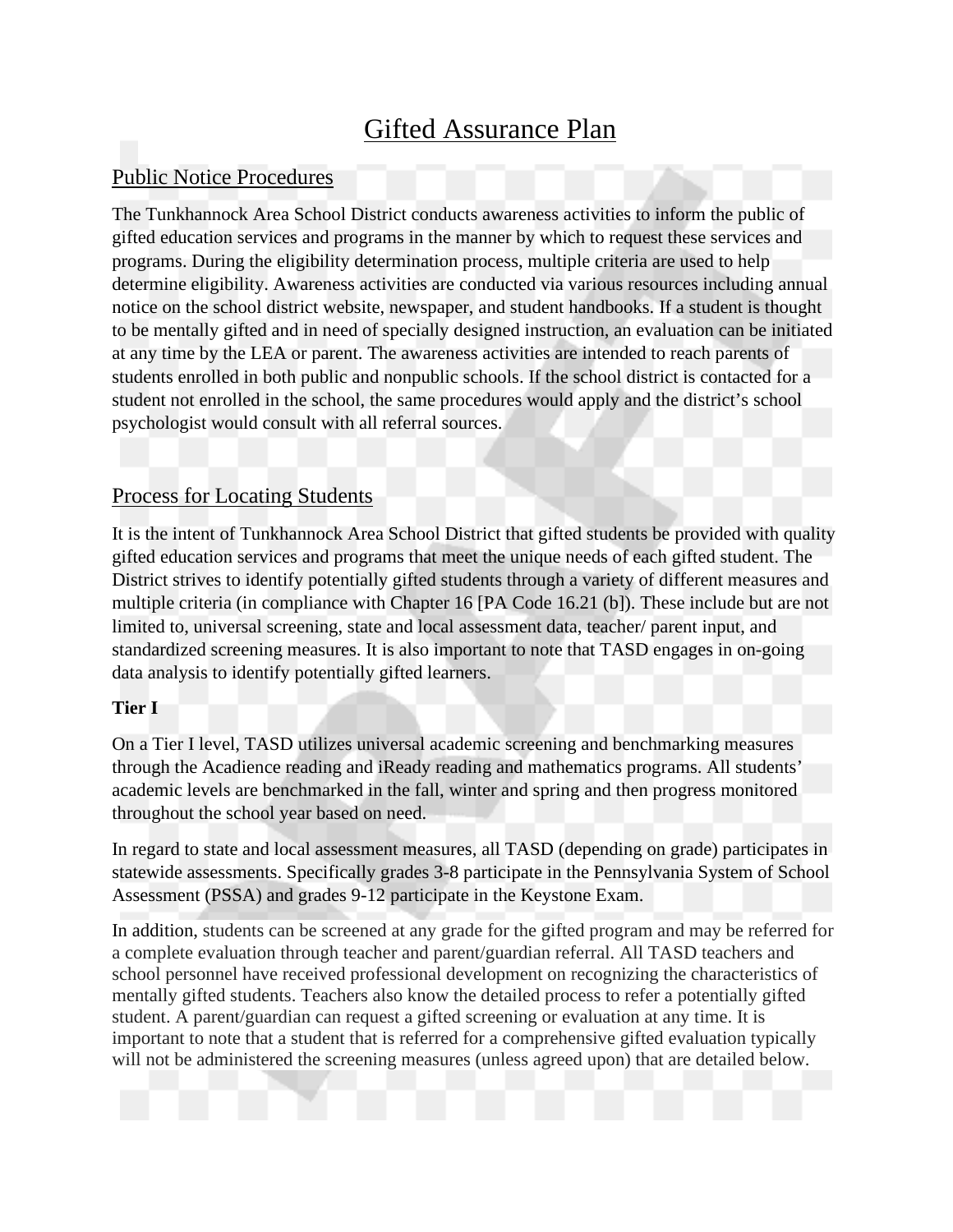# Gifted Assurance Plan

## Public Notice Procedures

The Tunkhannock Area School District conducts awareness activities to inform the public of gifted education services and programs in the manner by which to request these services and programs. During the eligibility determination process, multiple criteria are used to help determine eligibility. Awareness activities are conducted via various resources including annual notice on the school district website, newspaper, and student handbooks. If a student is thought to be mentally gifted and in need of specially designed instruction, an evaluation can be initiated at any time by the LEA or parent. The awareness activities are intended to reach parents of students enrolled in both public and nonpublic schools. If the school district is contacted for a student not enrolled in the school, the same procedures would apply and the district's school psychologist would consult with all referral sources.

## Process for Locating Students

It is the intent of Tunkhannock Area School District that gifted students be provided with quality gifted education services and programs that meet the unique needs of each gifted student. The District strives to identify potentially gifted students through a variety of different measures and multiple criteria (in compliance with Chapter 16 [PA Code 16.21 (b]). These include but are not limited to, universal screening, state and local assessment data, teacher/ parent input, and standardized screening measures. It is also important to note that TASD engages in on-going data analysis to identify potentially gifted learners.

#### **Tier I**

On a Tier I level, TASD utilizes universal academic screening and benchmarking measures through the Acadience reading and iReady reading and mathematics programs. All students' academic levels are benchmarked in the fall, winter and spring and then progress monitored throughout the school year based on need.

In regard to state and local assessment measures, all TASD (depending on grade) participates in statewide assessments. Specifically grades 3-8 participate in the Pennsylvania System of School Assessment (PSSA) and grades 9-12 participate in the Keystone Exam.

In addition, students can be screened at any grade for the gifted program and may be referred for a complete evaluation through teacher and parent/guardian referral. All TASD teachers and school personnel have received professional development on recognizing the characteristics of mentally gifted students. Teachers also know the detailed process to refer a potentially gifted student. A parent/guardian can request a gifted screening or evaluation at any time. It is important to note that a student that is referred for a comprehensive gifted evaluation typically will not be administered the screening measures (unless agreed upon) that are detailed below.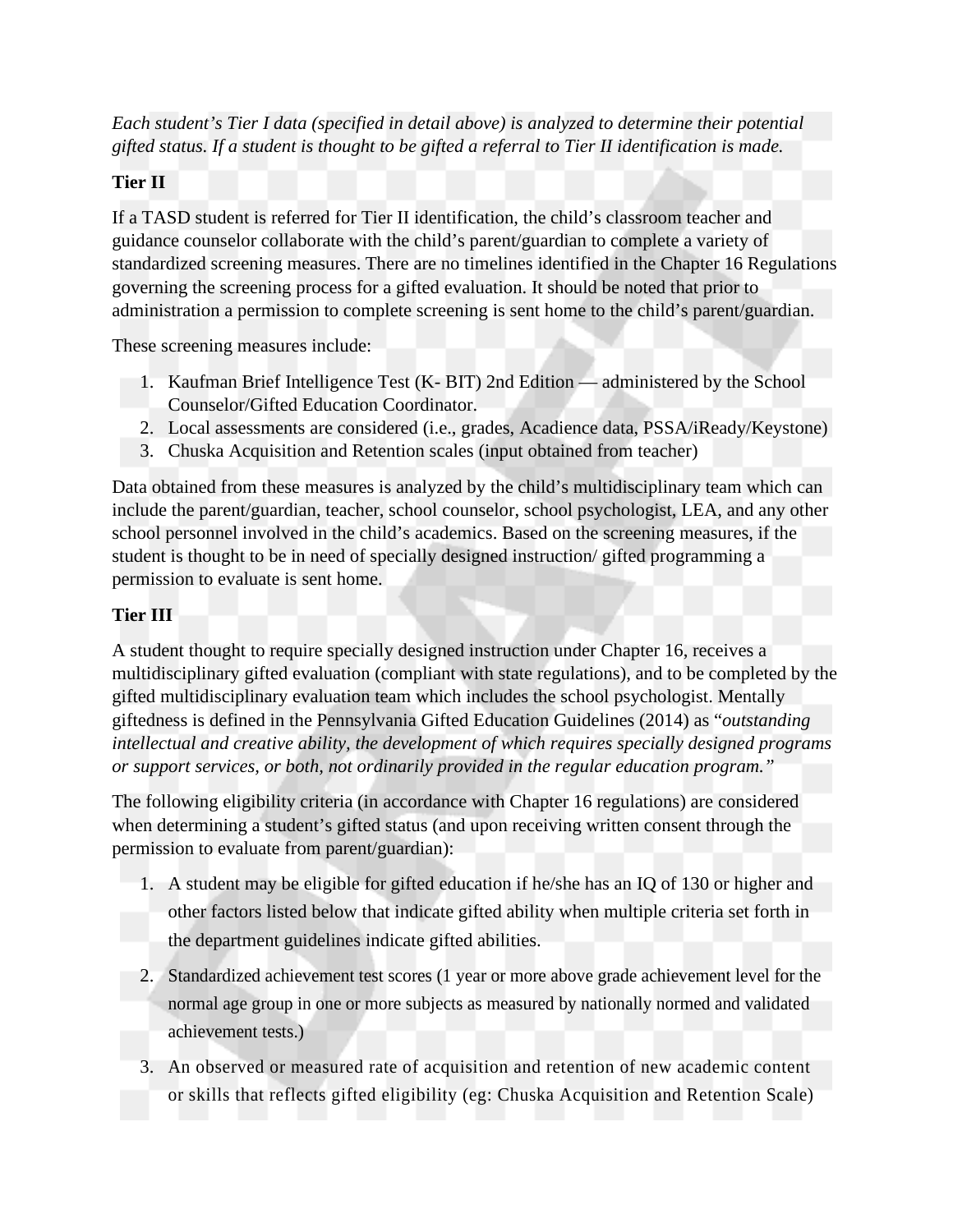*Each student's Tier I data (specified in detail above) is analyzed to determine their potential gifted status. If a student is thought to be gifted a referral to Tier II identification is made.*

#### **Tier II**

If a TASD student is referred for Tier II identification, the child's classroom teacher and guidance counselor collaborate with the child's parent/guardian to complete a variety of standardized screening measures. There are no timelines identified in the Chapter 16 Regulations governing the screening process for a gifted evaluation. It should be noted that prior to administration a permission to complete screening is sent home to the child's parent/guardian.

These screening measures include:

- 1. Kaufman Brief Intelligence Test (K- BIT) 2nd Edition administered by the School Counselor/Gifted Education Coordinator.
- 2. Local assessments are considered (i.e., grades, Acadience data, PSSA/iReady/Keystone)
- 3. Chuska Acquisition and Retention scales (input obtained from teacher)

Data obtained from these measures is analyzed by the child's multidisciplinary team which can include the parent/guardian, teacher, school counselor, school psychologist, LEA, and any other school personnel involved in the child's academics. Based on the screening measures, if the student is thought to be in need of specially designed instruction/ gifted programming a permission to evaluate is sent home.

## **Tier III**

A student thought to require specially designed instruction under Chapter 16, receives a multidisciplinary gifted evaluation (compliant with state regulations), and to be completed by the gifted multidisciplinary evaluation team which includes the school psychologist. Mentally giftedness is defined in the Pennsylvania Gifted Education Guidelines (2014) as "*outstanding intellectual and creative ability, the development of which requires specially designed programs or support services, or both, not ordinarily provided in the regular education program."*

The following eligibility criteria (in accordance with Chapter 16 regulations) are considered when determining a student's gifted status (and upon receiving written consent through the permission to evaluate from parent/guardian):

- 1. A student may be eligible for gifted education if he/she has an IQ of 130 or higher and other factors listed below that indicate gifted ability when multiple criteria set forth in the department guidelines indicate gifted abilities.
- 2. Standardized achievement test scores (1 year or more above grade achievement level for the normal age group in one or more subjects as measured by nationally normed and validated achievement tests.)
- 3. An observed or measured rate of acquisition and retention of new academic content or skills that reflects gifted eligibility (eg: Chuska Acquisition and Retention Scale)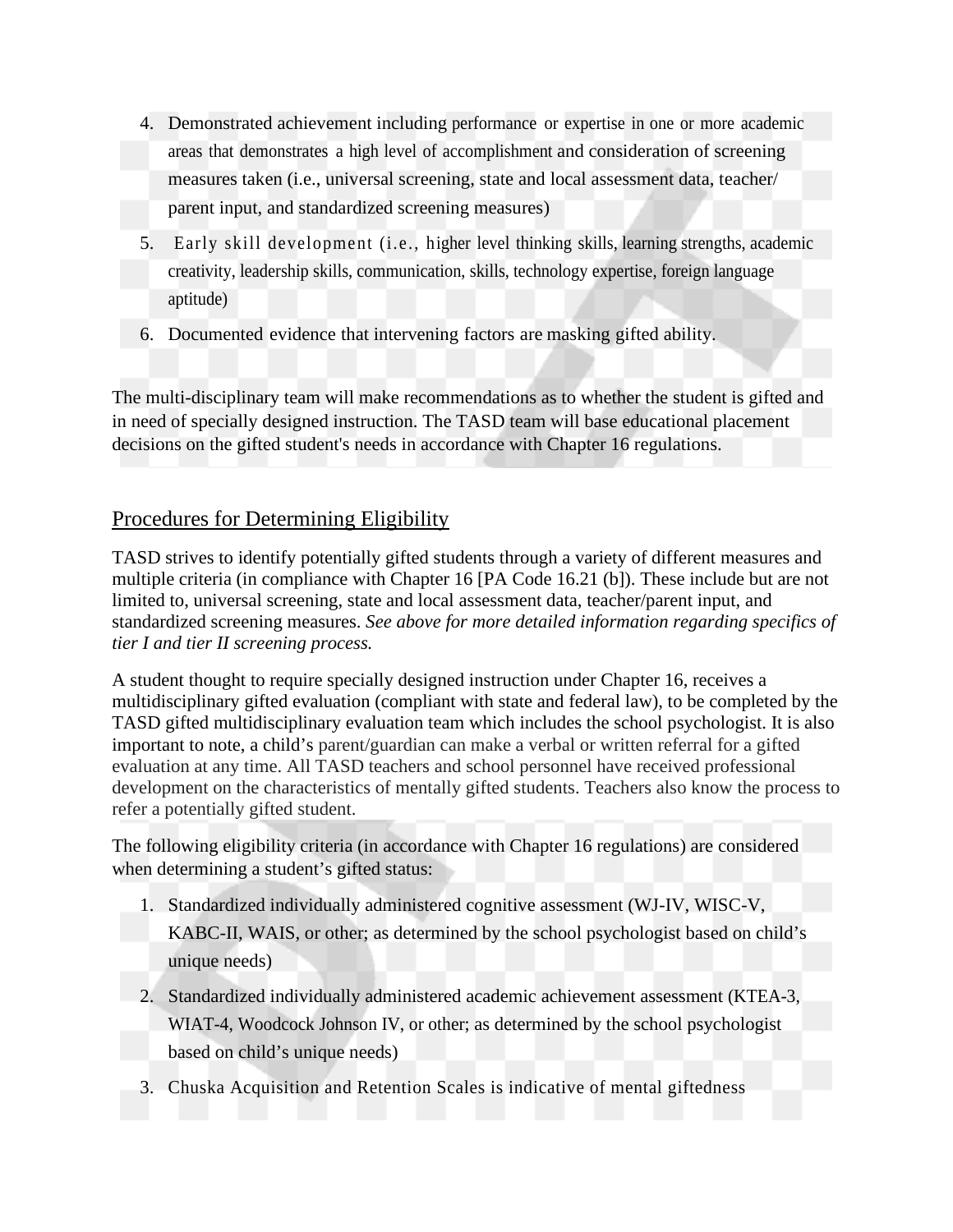- 4. Demonstrated achievement including performance or expertise in one or more academic areas that demonstrates a high level of accomplishment and consideration of screening measures taken (i.e., universal screening, state and local assessment data, teacher/ parent input, and standardized screening measures)
- 5. Early skill development (i.e., higher level thinking skills, learning strengths, academic creativity, leadership skills, communication, skills, technology expertise, foreign language aptitude)
- 6. Documented evidence that intervening factors are masking gifted ability.

The multi-disciplinary team will make recommendations as to whether the student is gifted and in need of specially designed instruction. The TASD team will base educational placement decisions on the gifted student's needs in accordance with Chapter 16 regulations.

## Procedures for Determining Eligibility

TASD strives to identify potentially gifted students through a variety of different measures and multiple criteria (in compliance with Chapter 16 [PA Code 16.21 (b]). These include but are not limited to, universal screening, state and local assessment data, teacher/parent input, and standardized screening measures. *See above for more detailed information regarding specifics of tier I and tier II screening process.* 

A student thought to require specially designed instruction under Chapter 16, receives a multidisciplinary gifted evaluation (compliant with state and federal law), to be completed by the TASD gifted multidisciplinary evaluation team which includes the school psychologist. It is also important to note, a child's parent/guardian can make a verbal or written referral for a gifted evaluation at any time. All TASD teachers and school personnel have received professional development on the characteristics of mentally gifted students. Teachers also know the process to refer a potentially gifted student.

The following eligibility criteria (in accordance with Chapter 16 regulations) are considered when determining a student's gifted status:

- 1. Standardized individually administered cognitive assessment (WJ-IV, WISC-V, KABC-II, WAIS, or other; as determined by the school psychologist based on child's unique needs)
- 2. Standardized individually administered academic achievement assessment (KTEA-3, WIAT-4, Woodcock Johnson IV, or other; as determined by the school psychologist based on child's unique needs)
- 3. Chuska Acquisition and Retention Scales is indicative of mental giftedness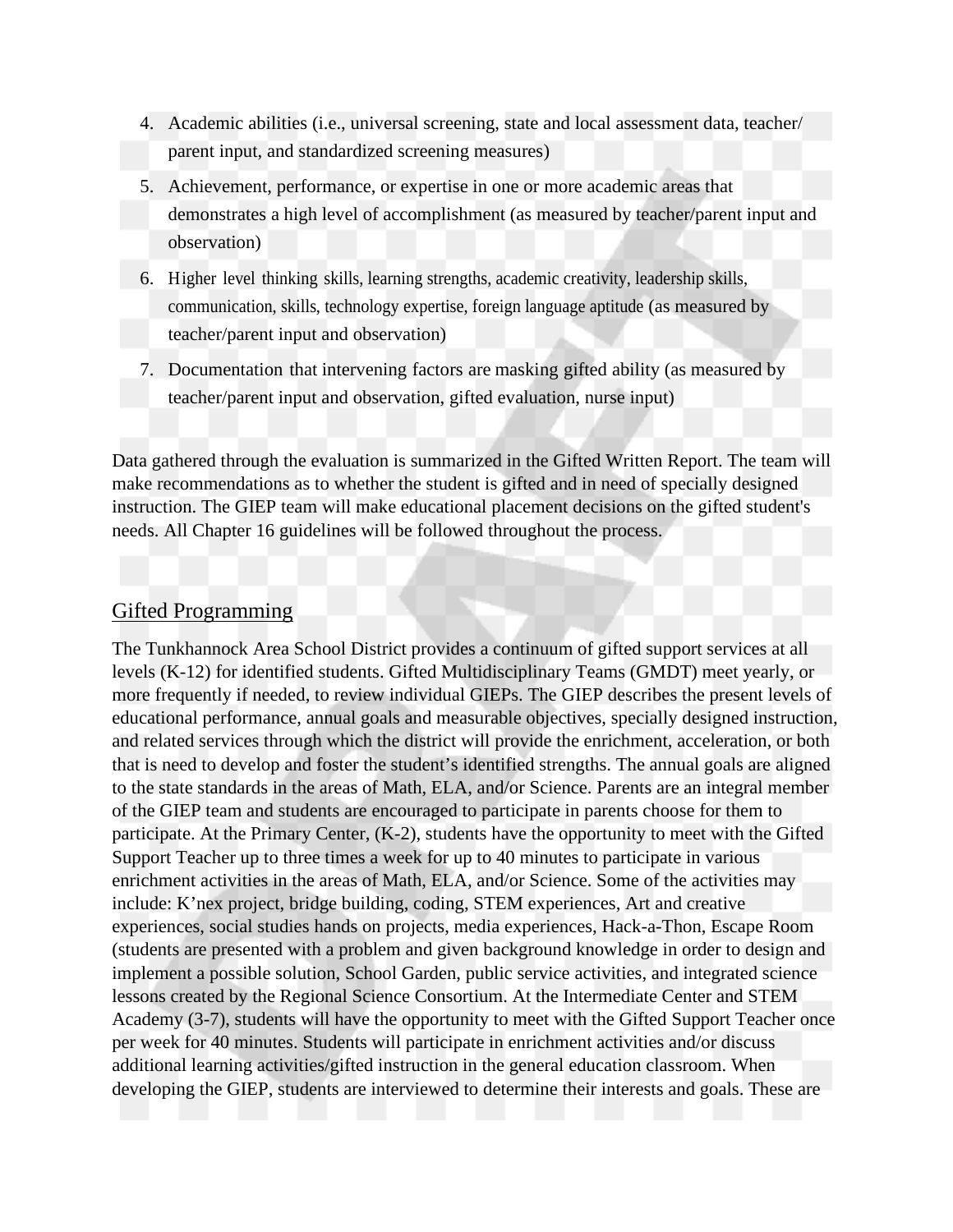- 4. Academic abilities (i.e., universal screening, state and local assessment data, teacher/ parent input, and standardized screening measures)
- 5. Achievement, performance, or expertise in one or more academic areas that demonstrates a high level of accomplishment (as measured by teacher/parent input and observation)
- 6. Higher level thinking skills, learning strengths, academic creativity, leadership skills, communication, skills, technology expertise, foreign language aptitude (as measured by teacher/parent input and observation)
- 7. Documentation that intervening factors are masking gifted ability (as measured by teacher/parent input and observation, gifted evaluation, nurse input)

Data gathered through the evaluation is summarized in the Gifted Written Report. The team will make recommendations as to whether the student is gifted and in need of specially designed instruction. The GIEP team will make educational placement decisions on the gifted student's needs. All Chapter 16 guidelines will be followed throughout the process.

### Gifted Programming

The Tunkhannock Area School District provides a continuum of gifted support services at all levels (K-12) for identified students. Gifted Multidisciplinary Teams (GMDT) meet yearly, or more frequently if needed, to review individual GIEPs. The GIEP describes the present levels of educational performance, annual goals and measurable objectives, specially designed instruction, and related services through which the district will provide the enrichment, acceleration, or both that is need to develop and foster the student's identified strengths. The annual goals are aligned to the state standards in the areas of Math, ELA, and/or Science. Parents are an integral member of the GIEP team and students are encouraged to participate in parents choose for them to participate. At the Primary Center, (K-2), students have the opportunity to meet with the Gifted Support Teacher up to three times a week for up to 40 minutes to participate in various enrichment activities in the areas of Math, ELA, and/or Science. Some of the activities may include: K'nex project, bridge building, coding, STEM experiences, Art and creative experiences, social studies hands on projects, media experiences, Hack-a-Thon, Escape Room (students are presented with a problem and given background knowledge in order to design and implement a possible solution, School Garden, public service activities, and integrated science lessons created by the Regional Science Consortium. At the Intermediate Center and STEM Academy (3-7), students will have the opportunity to meet with the Gifted Support Teacher once per week for 40 minutes. Students will participate in enrichment activities and/or discuss additional learning activities/gifted instruction in the general education classroom. When developing the GIEP, students are interviewed to determine their interests and goals. These are